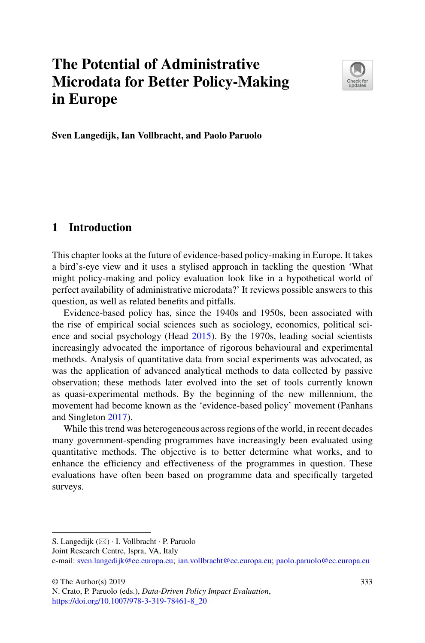# **The Potential of Administrative Microdata for Better Policy-Making in Europe**



**Sven Langedijk, Ian Vollbracht, and Paolo Paruolo**

## **1 Introduction**

This chapter looks at the future of evidence-based policy-making in Europe. It takes a bird's-eye view and it uses a stylised approach in tackling the question 'What might policy-making and policy evaluation look like in a hypothetical world of perfect availability of administrative microdata?' It reviews possible answers to this question, as well as related benefits and pitfalls.

Evidence-based policy has, since the 1940s and 1950s, been associated with the rise of empirical social sciences such as sociology, economics, political science and social psychology (Head [2015\)](#page-12-0). By the 1970s, leading social scientists increasingly advocated the importance of rigorous behavioural and experimental methods. Analysis of quantitative data from social experiments was advocated, as was the application of advanced analytical methods to data collected by passive observation; these methods later evolved into the set of tools currently known as quasi-experimental methods. By the beginning of the new millennium, the movement had become known as the 'evidence-based policy' movement (Panhans and Singleton [2017\)](#page-12-1).

While this trend was heterogeneous across regions of the world, in recent decades many government-spending programmes have increasingly been evaluated using quantitative methods. The objective is to better determine what works, and to enhance the efficiency and effectiveness of the programmes in question. These evaluations have often been based on programme data and specifically targeted surveys.

Joint Research Centre, Ispra, VA, Italy

S. Langedijk (⊠) · I. Vollbracht · P. Paruolo

e-mail: [sven.langedijk@ec.europa.eu;](mailto:sven.langedijk@ec.europa.eu) [ian.vollbracht@ec.europa.eu;](mailto:ian.vollbracht@ec.europa.eu) [paolo.paruolo@ec.europa.eu](mailto:paolo.paruolo@ec.europa.eu)

N. Crato, P. Paruolo (eds.), *Data-Driven Policy Impact Evaluation*, [https://doi.org/10.1007/978-3-319-78461-8\\_20](https://doi.org/10.1007/978-3-319-78461-8_20)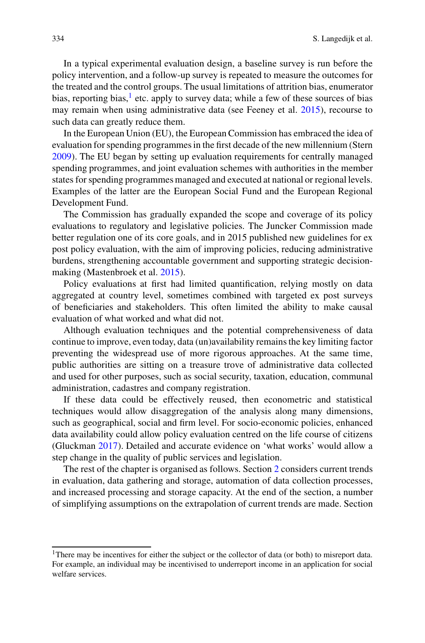In a typical experimental evaluation design, a baseline survey is run before the policy intervention, and a follow-up survey is repeated to measure the outcomes for the treated and the control groups. The usual limitations of attrition bias, enumerator bias, reporting bias, $<sup>1</sup>$  $<sup>1</sup>$  $<sup>1</sup>$  etc. apply to survey data; while a few of these sources of bias</sup> may remain when using administrative data (see Feeney et al. [2015\)](#page-12-2), recourse to such data can greatly reduce them.

In the European Union (EU), the European Commission has embraced the idea of evaluation for spending programmes in the first decade of the new millennium (Stern [2009\)](#page-12-3). The EU began by setting up evaluation requirements for centrally managed spending programmes, and joint evaluation schemes with authorities in the member states for spending programmes managed and executed at national or regional levels. Examples of the latter are the European Social Fund and the European Regional Development Fund.

The Commission has gradually expanded the scope and coverage of its policy evaluations to regulatory and legislative policies. The Juncker Commission made better regulation one of its core goals, and in 2015 published new guidelines for ex post policy evaluation, with the aim of improving policies, reducing administrative burdens, strengthening accountable government and supporting strategic decisionmaking (Mastenbroek et al. [2015\)](#page-12-4).

Policy evaluations at first had limited quantification, relying mostly on data aggregated at country level, sometimes combined with targeted ex post surveys of beneficiaries and stakeholders. This often limited the ability to make causal evaluation of what worked and what did not.

Although evaluation techniques and the potential comprehensiveness of data continue to improve, even today, data (un)availability remains the key limiting factor preventing the widespread use of more rigorous approaches. At the same time, public authorities are sitting on a treasure trove of administrative data collected and used for other purposes, such as social security, taxation, education, communal administration, cadastres and company registration.

If these data could be effectively reused, then econometric and statistical techniques would allow disaggregation of the analysis along many dimensions, such as geographical, social and firm level. For socio-economic policies, enhanced data availability could allow policy evaluation centred on the life course of citizens (Gluckman [2017\)](#page-12-5). Detailed and accurate evidence on 'what works' would allow a step change in the quality of public services and legislation.

The rest of the chapter is organised as follows. Section [2](#page-2-0) considers current trends in evaluation, data gathering and storage, automation of data collection processes, and increased processing and storage capacity. At the end of the section, a number of simplifying assumptions on the extrapolation of current trends are made. Section

<span id="page-1-0"></span><sup>&</sup>lt;sup>1</sup>There may be incentives for either the subject or the collector of data (or both) to misreport data. For example, an individual may be incentivised to underreport income in an application for social welfare services.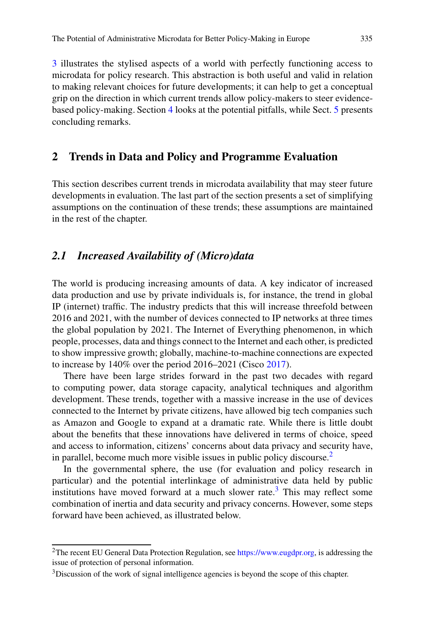[3](#page-5-0) illustrates the stylised aspects of a world with perfectly functioning access to microdata for policy research. This abstraction is both useful and valid in relation to making relevant choices for future developments; it can help to get a conceptual grip on the direction in which current trends allow policy-makers to steer evidencebased policy-making. Section [4](#page-9-0) looks at the potential pitfalls, while Sect. [5](#page-11-0) presents concluding remarks.

#### <span id="page-2-0"></span>**2 Trends in Data and Policy and Programme Evaluation**

This section describes current trends in microdata availability that may steer future developments in evaluation. The last part of the section presents a set of simplifying assumptions on the continuation of these trends; these assumptions are maintained in the rest of the chapter.

## *2.1 Increased Availability of (Micro)data*

The world is producing increasing amounts of data. A key indicator of increased data production and use by private individuals is, for instance, the trend in global IP (internet) traffic. The industry predicts that this will increase threefold between 2016 and 2021, with the number of devices connected to IP networks at three times the global population by 2021. The Internet of Everything phenomenon, in which people, processes, data and things connect to the Internet and each other, is predicted to show impressive growth; globally, machine-to-machine connections are expected to increase by 140% over the period 2016–2021 (Cisco [2017\)](#page-12-6).

There have been large strides forward in the past two decades with regard to computing power, data storage capacity, analytical techniques and algorithm development. These trends, together with a massive increase in the use of devices connected to the Internet by private citizens, have allowed big tech companies such as Amazon and Google to expand at a dramatic rate. While there is little doubt about the benefits that these innovations have delivered in terms of choice, speed and access to information, citizens' concerns about data privacy and security have, in parallel, become much more visible issues in public policy discourse[.2](#page-2-1)

In the governmental sphere, the use (for evaluation and policy research in particular) and the potential interlinkage of administrative data held by public institutions have moved forward at a much slower rate.<sup>[3](#page-2-2)</sup> This may reflect some combination of inertia and data security and privacy concerns. However, some steps forward have been achieved, as illustrated below.

<span id="page-2-1"></span><sup>&</sup>lt;sup>2</sup>The recent EU General Data Protection Regulation, see [https://www.eugdpr.org,](https://www.eugdpr.org) is addressing the issue of protection of personal information.

<span id="page-2-2"></span><sup>&</sup>lt;sup>3</sup>Discussion of the work of signal intelligence agencies is beyond the scope of this chapter.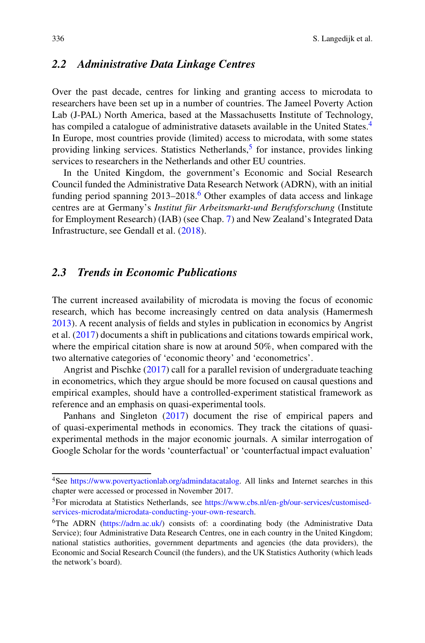## *2.2 Administrative Data Linkage Centres*

Over the past decade, centres for linking and granting access to microdata to researchers have been set up in a number of countries. The Jameel Poverty Action Lab (J-PAL) North America, based at the Massachusetts Institute of Technology, has compiled a catalogue of administrative datasets available in the United States.<sup>[4](#page-3-0)</sup> In Europe, most countries provide (limited) access to microdata, with some states providing linking services. Statistics Netherlands,  $\frac{5}{5}$  $\frac{5}{5}$  $\frac{5}{5}$  for instance, provides linking services to researchers in the Netherlands and other EU countries.

In the United Kingdom, the government's Economic and Social Research Council funded the Administrative Data Research Network (ADRN), with an initial funding period spanning  $2013-2018$ .<sup>[6](#page-3-2)</sup> Other examples of data access and linkage centres are at Germany's *Institut für Arbeitsmarkt-und Berufsforschung* (Institute for Employment Research) (IAB) (see Chap. [7\)](http://dx.doi.org/10.1007/978-3-319-78461-8_7) and New Zealand's Integrated Data Infrastructure, see Gendall et al. [\(2018\)](#page-12-7).

#### *2.3 Trends in Economic Publications*

The current increased availability of microdata is moving the focus of economic research, which has become increasingly centred on data analysis (Hamermesh [2013\)](#page-12-8). A recent analysis of fields and styles in publication in economics by Angrist et al. [\(2017\)](#page-12-9) documents a shift in publications and citations towards empirical work, where the empirical citation share is now at around 50%, when compared with the two alternative categories of 'economic theory' and 'econometrics'.

Angrist and Pischke [\(2017\)](#page-12-10) call for a parallel revision of undergraduate teaching in econometrics, which they argue should be more focused on causal questions and empirical examples, should have a controlled-experiment statistical framework as reference and an emphasis on quasi-experimental tools.

Panhans and Singleton [\(2017\)](#page-12-1) document the rise of empirical papers and of quasi-experimental methods in economics. They track the citations of quasiexperimental methods in the major economic journals. A similar interrogation of Google Scholar for the words 'counterfactual' or 'counterfactual impact evaluation'

<span id="page-3-0"></span><sup>4</sup>See [https://www.povertyactionlab.org/admindatacatalog.](https://www.povertyactionlab.org/admindatacatalog) All links and Internet searches in this chapter were accessed or processed in November 2017.

<span id="page-3-1"></span><sup>5</sup>For microdata at Statistics Netherlands, see [https://www.cbs.nl/en-gb/our-services/customised](https://www.cbs.nl/en-gb/our-services/customised-services-microdata/microdata-conducting-your-own-research)[services-microdata/microdata-conducting-your-own-research.](https://www.cbs.nl/en-gb/our-services/customised-services-microdata/microdata-conducting-your-own-research)

<span id="page-3-2"></span><sup>6</sup>The ADRN [\(https://adrn.ac.uk/\)](https://adrn.ac.uk/) consists of: a coordinating body (the Administrative Data Service); four Administrative Data Research Centres, one in each country in the United Kingdom; national statistics authorities, government departments and agencies (the data providers), the Economic and Social Research Council (the funders), and the UK Statistics Authority (which leads the network's board).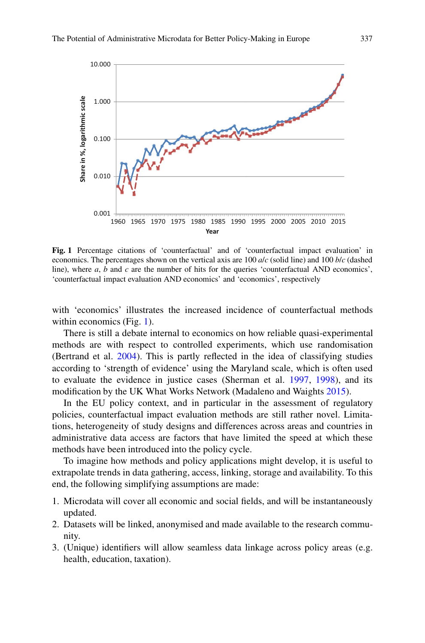

<span id="page-4-0"></span>**Fig. 1** Percentage citations of 'counterfactual' and of 'counterfactual impact evaluation' in economics. The percentages shown on the vertical axis are 100 *a*/*c* (solid line) and 100 *b*/*c* (dashed line), where *a*, *b* and *c* are the number of hits for the queries 'counterfactual AND economics', 'counterfactual impact evaluation AND economics' and 'economics', respectively

with 'economics' illustrates the increased incidence of counterfactual methods within economics (Fig. [1\)](#page-4-0).

There is still a debate internal to economics on how reliable quasi-experimental methods are with respect to controlled experiments, which use randomisation (Bertrand et al. [2004\)](#page-12-11). This is partly reflected in the idea of classifying studies according to 'strength of evidence' using the Maryland scale, which is often used to evaluate the evidence in justice cases (Sherman et al. [1997,](#page-12-12) [1998\)](#page-12-13), and its modification by the UK What Works Network (Madaleno and Waights [2015\)](#page-12-14).

In the EU policy context, and in particular in the assessment of regulatory policies, counterfactual impact evaluation methods are still rather novel. Limitations, heterogeneity of study designs and differences across areas and countries in administrative data access are factors that have limited the speed at which these methods have been introduced into the policy cycle.

To imagine how methods and policy applications might develop, it is useful to extrapolate trends in data gathering, access, linking, storage and availability. To this end, the following simplifying assumptions are made:

- 1. Microdata will cover all economic and social fields, and will be instantaneously updated.
- 2. Datasets will be linked, anonymised and made available to the research community.
- 3. (Unique) identifiers will allow seamless data linkage across policy areas (e.g. health, education, taxation).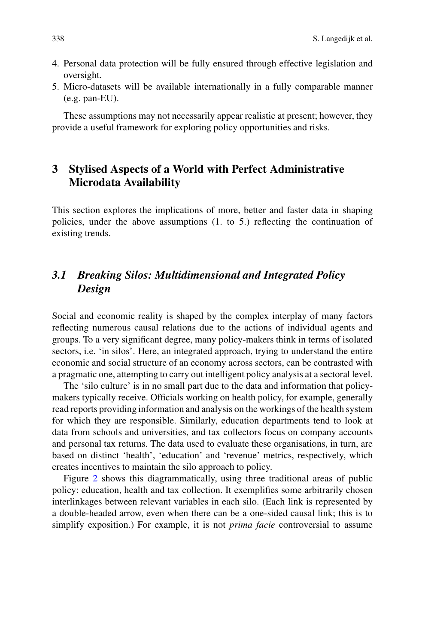- 4. Personal data protection will be fully ensured through effective legislation and oversight.
- 5. Micro-datasets will be available internationally in a fully comparable manner (e.g. pan-EU).

<span id="page-5-0"></span>These assumptions may not necessarily appear realistic at present; however, they provide a useful framework for exploring policy opportunities and risks.

## **3 Stylised Aspects of a World with Perfect Administrative Microdata Availability**

This section explores the implications of more, better and faster data in shaping policies, under the above assumptions (1. to 5.) reflecting the continuation of existing trends.

## *3.1 Breaking Silos: Multidimensional and Integrated Policy Design*

Social and economic reality is shaped by the complex interplay of many factors reflecting numerous causal relations due to the actions of individual agents and groups. To a very significant degree, many policy-makers think in terms of isolated sectors, i.e. 'in silos'. Here, an integrated approach, trying to understand the entire economic and social structure of an economy across sectors, can be contrasted with a pragmatic one, attempting to carry out intelligent policy analysis at a sectoral level.

The 'silo culture' is in no small part due to the data and information that policymakers typically receive. Officials working on health policy, for example, generally read reports providing information and analysis on the workings of the health system for which they are responsible. Similarly, education departments tend to look at data from schools and universities, and tax collectors focus on company accounts and personal tax returns. The data used to evaluate these organisations, in turn, are based on distinct 'health', 'education' and 'revenue' metrics, respectively, which creates incentives to maintain the silo approach to policy.

Figure [2](#page-6-0) shows this diagrammatically, using three traditional areas of public policy: education, health and tax collection. It exemplifies some arbitrarily chosen interlinkages between relevant variables in each silo. (Each link is represented by a double-headed arrow, even when there can be a one-sided causal link; this is to simplify exposition.) For example, it is not *prima facie* controversial to assume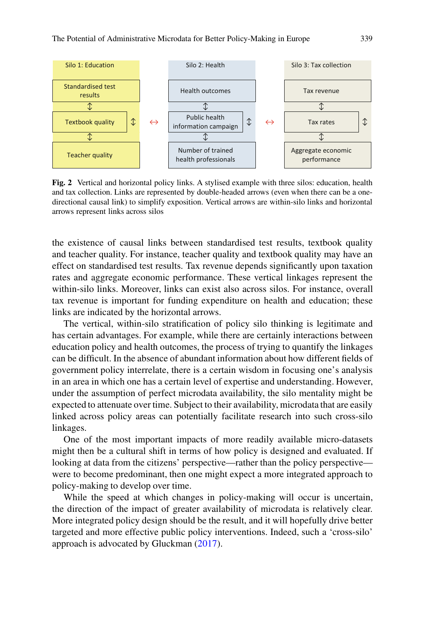

<span id="page-6-0"></span>**Fig. 2** Vertical and horizontal policy links. A stylised example with three silos: education, health and tax collection. Links are represented by double-headed arrows (even when there can be a onedirectional causal link) to simplify exposition. Vertical arrows are within-silo links and horizontal arrows represent links across silos

the existence of causal links between standardised test results, textbook quality and teacher quality. For instance, teacher quality and textbook quality may have an effect on standardised test results. Tax revenue depends significantly upon taxation rates and aggregate economic performance. These vertical linkages represent the within-silo links. Moreover, links can exist also across silos. For instance, overall tax revenue is important for funding expenditure on health and education; these links are indicated by the horizontal arrows.

The vertical, within-silo stratification of policy silo thinking is legitimate and has certain advantages. For example, while there are certainly interactions between education policy and health outcomes, the process of trying to quantify the linkages can be difficult. In the absence of abundant information about how different fields of government policy interrelate, there is a certain wisdom in focusing one's analysis in an area in which one has a certain level of expertise and understanding. However, under the assumption of perfect microdata availability, the silo mentality might be expected to attenuate over time. Subject to their availability, microdata that are easily linked across policy areas can potentially facilitate research into such cross-silo linkages.

One of the most important impacts of more readily available micro-datasets might then be a cultural shift in terms of how policy is designed and evaluated. If looking at data from the citizens' perspective—rather than the policy perspective were to become predominant, then one might expect a more integrated approach to policy-making to develop over time.

While the speed at which changes in policy-making will occur is uncertain, the direction of the impact of greater availability of microdata is relatively clear. More integrated policy design should be the result, and it will hopefully drive better targeted and more effective public policy interventions. Indeed, such a 'cross-silo' approach is advocated by Gluckman [\(2017\)](#page-12-5).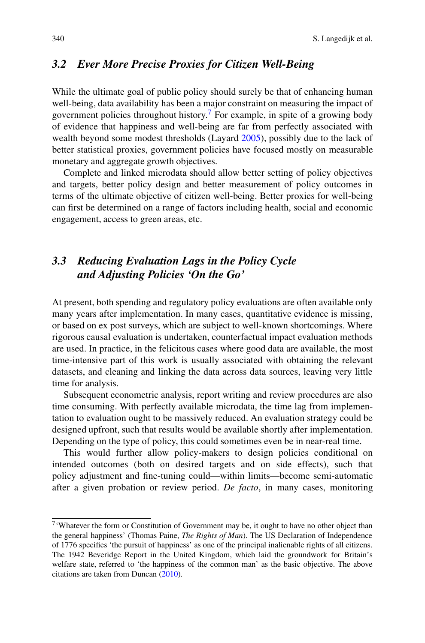## *3.2 Ever More Precise Proxies for Citizen Well-Being*

While the ultimate goal of public policy should surely be that of enhancing human well-being, data availability has been a major constraint on measuring the impact of government policies throughout history.<sup>[7](#page-7-0)</sup> For example, in spite of a growing body of evidence that happiness and well-being are far from perfectly associated with wealth beyond some modest thresholds (Layard [2005\)](#page-12-15), possibly due to the lack of better statistical proxies, government policies have focused mostly on measurable monetary and aggregate growth objectives.

Complete and linked microdata should allow better setting of policy objectives and targets, better policy design and better measurement of policy outcomes in terms of the ultimate objective of citizen well-being. Better proxies for well-being can first be determined on a range of factors including health, social and economic engagement, access to green areas, etc.

## *3.3 Reducing Evaluation Lags in the Policy Cycle and Adjusting Policies 'On the Go'*

At present, both spending and regulatory policy evaluations are often available only many years after implementation. In many cases, quantitative evidence is missing, or based on ex post surveys, which are subject to well-known shortcomings. Where rigorous causal evaluation is undertaken, counterfactual impact evaluation methods are used. In practice, in the felicitous cases where good data are available, the most time-intensive part of this work is usually associated with obtaining the relevant datasets, and cleaning and linking the data across data sources, leaving very little time for analysis.

Subsequent econometric analysis, report writing and review procedures are also time consuming. With perfectly available microdata, the time lag from implementation to evaluation ought to be massively reduced. An evaluation strategy could be designed upfront, such that results would be available shortly after implementation. Depending on the type of policy, this could sometimes even be in near-real time.

This would further allow policy-makers to design policies conditional on intended outcomes (both on desired targets and on side effects), such that policy adjustment and fine-tuning could—within limits—become semi-automatic after a given probation or review period. *De facto*, in many cases, monitoring

<span id="page-7-0"></span><sup>7&#</sup>x27;Whatever the form or Constitution of Government may be, it ought to have no other object than the general happiness' (Thomas Paine, *The Rights of Man*). The US Declaration of Independence of 1776 specifies 'the pursuit of happiness' as one of the principal inalienable rights of all citizens. The 1942 Beveridge Report in the United Kingdom, which laid the groundwork for Britain's welfare state, referred to 'the happiness of the common man' as the basic objective. The above citations are taken from Duncan [\(2010\)](#page-12-16).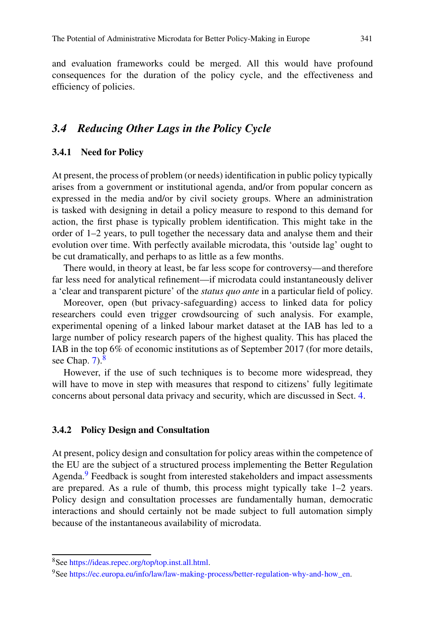and evaluation frameworks could be merged. All this would have profound consequences for the duration of the policy cycle, and the effectiveness and efficiency of policies.

#### *3.4 Reducing Other Lags in the Policy Cycle*

#### **3.4.1 Need for Policy**

At present, the process of problem (or needs) identification in public policy typically arises from a government or institutional agenda, and/or from popular concern as expressed in the media and/or by civil society groups. Where an administration is tasked with designing in detail a policy measure to respond to this demand for action, the first phase is typically problem identification. This might take in the order of 1–2 years, to pull together the necessary data and analyse them and their evolution over time. With perfectly available microdata, this 'outside lag' ought to be cut dramatically, and perhaps to as little as a few months.

There would, in theory at least, be far less scope for controversy—and therefore far less need for analytical refinement—if microdata could instantaneously deliver a 'clear and transparent picture' of the *status quo ante* in a particular field of policy.

Moreover, open (but privacy-safeguarding) access to linked data for policy researchers could even trigger crowdsourcing of such analysis. For example, experimental opening of a linked labour market dataset at the IAB has led to a large number of policy research papers of the highest quality. This has placed the IAB in the top 6% of economic institutions as of September 2017 (for more details, see Chap.  $7<sup>8</sup>$  $7<sup>8</sup>$  $7<sup>8</sup>$ 

However, if the use of such techniques is to become more widespread, they will have to move in step with measures that respond to citizens' fully legitimate concerns about personal data privacy and security, which are discussed in Sect. [4.](#page-9-0)

#### **3.4.2 Policy Design and Consultation**

At present, policy design and consultation for policy areas within the competence of the EU are the subject of a structured process implementing the Better Regulation Agenda.<sup>[9](#page-8-1)</sup> Feedback is sought from interested stakeholders and impact assessments are prepared. As a rule of thumb, this process might typically take 1–2 years. Policy design and consultation processes are fundamentally human, democratic interactions and should certainly not be made subject to full automation simply because of the instantaneous availability of microdata.

<span id="page-8-0"></span><sup>8</sup>See [https://ideas.repec.org/top/top.inst.all.html.](https://ideas.repec.org/top/top.inst.all.html)

<span id="page-8-1"></span><sup>9</sup>See [https://ec.europa.eu/info/law/law-making-process/better-regulation-why-and-how\\_en.](https://ec.europa.eu/info/law/law-making-process/better-regulation-why-and-how_en)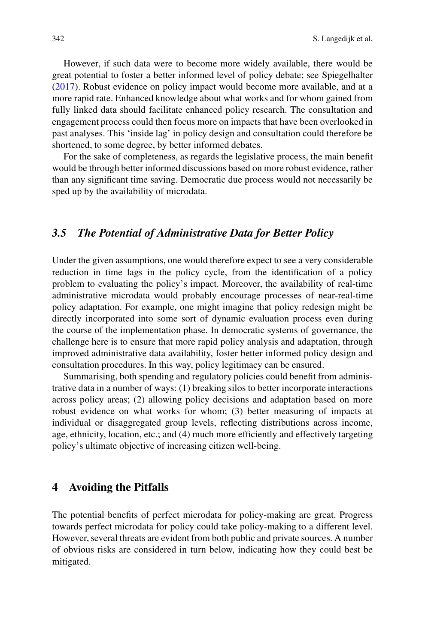However, if such data were to become more widely available, there would be great potential to foster a better informed level of policy debate; see Spiegelhalter [\(2017\)](#page-12-17). Robust evidence on policy impact would become more available, and at a more rapid rate. Enhanced knowledge about what works and for whom gained from fully linked data should facilitate enhanced policy research. The consultation and engagement process could then focus more on impacts that have been overlooked in past analyses. This 'inside lag' in policy design and consultation could therefore be shortened, to some degree, by better informed debates.

For the sake of completeness, as regards the legislative process, the main benefit would be through better informed discussions based on more robust evidence, rather than any significant time saving. Democratic due process would not necessarily be sped up by the availability of microdata.

#### *3.5 The Potential of Administrative Data for Better Policy*

Under the given assumptions, one would therefore expect to see a very considerable reduction in time lags in the policy cycle, from the identification of a policy problem to evaluating the policy's impact. Moreover, the availability of real-time administrative microdata would probably encourage processes of near-real-time policy adaptation. For example, one might imagine that policy redesign might be directly incorporated into some sort of dynamic evaluation process even during the course of the implementation phase. In democratic systems of governance, the challenge here is to ensure that more rapid policy analysis and adaptation, through improved administrative data availability, foster better informed policy design and consultation procedures. In this way, policy legitimacy can be ensured.

Summarising, both spending and regulatory policies could benefit from administrative data in a number of ways: (1) breaking silos to better incorporate interactions across policy areas; (2) allowing policy decisions and adaptation based on more robust evidence on what works for whom; (3) better measuring of impacts at individual or disaggregated group levels, reflecting distributions across income, age, ethnicity, location, etc.; and (4) much more efficiently and effectively targeting policy's ultimate objective of increasing citizen well-being.

#### <span id="page-9-0"></span>**4 Avoiding the Pitfalls**

The potential benefits of perfect microdata for policy-making are great. Progress towards perfect microdata for policy could take policy-making to a different level. However, several threats are evident from both public and private sources. A number of obvious risks are considered in turn below, indicating how they could best be mitigated.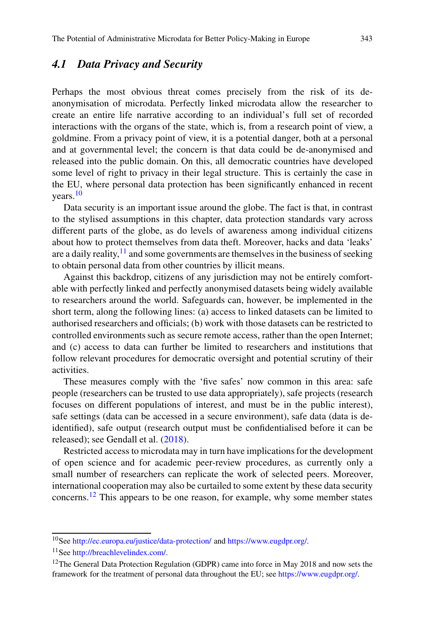#### *4.1 Data Privacy and Security*

Perhaps the most obvious threat comes precisely from the risk of its deanonymisation of microdata. Perfectly linked microdata allow the researcher to create an entire life narrative according to an individual's full set of recorded interactions with the organs of the state, which is, from a research point of view, a goldmine. From a privacy point of view, it is a potential danger, both at a personal and at governmental level; the concern is that data could be de-anonymised and released into the public domain. On this, all democratic countries have developed some level of right to privacy in their legal structure. This is certainly the case in the EU, where personal data protection has been significantly enhanced in recent years.[10](#page-10-0)

Data security is an important issue around the globe. The fact is that, in contrast to the stylised assumptions in this chapter, data protection standards vary across different parts of the globe, as do levels of awareness among individual citizens about how to protect themselves from data theft. Moreover, hacks and data 'leaks' are a daily reality,  $\frac{11}{2}$  $\frac{11}{2}$  $\frac{11}{2}$  and some governments are themselves in the business of seeking to obtain personal data from other countries by illicit means.

Against this backdrop, citizens of any jurisdiction may not be entirely comfortable with perfectly linked and perfectly anonymised datasets being widely available to researchers around the world. Safeguards can, however, be implemented in the short term, along the following lines: (a) access to linked datasets can be limited to authorised researchers and officials; (b) work with those datasets can be restricted to controlled environments such as secure remote access, rather than the open Internet; and (c) access to data can further be limited to researchers and institutions that follow relevant procedures for democratic oversight and potential scrutiny of their activities.

These measures comply with the 'five safes' now common in this area: safe people (researchers can be trusted to use data appropriately), safe projects (research focuses on different populations of interest, and must be in the public interest), safe settings (data can be accessed in a secure environment), safe data (data is deidentified), safe output (research output must be confidentialised before it can be released); see Gendall et al. [\(2018\)](#page-12-7).

Restricted access to microdata may in turn have implications for the development of open science and for academic peer-review procedures, as currently only a small number of researchers can replicate the work of selected peers. Moreover, international cooperation may also be curtailed to some extent by these data security concerns.[12](#page-10-2) This appears to be one reason, for example, why some member states

<span id="page-10-0"></span><sup>10</sup>See <http://ec.europa.eu/justice/data-protection/> and [https://www.eugdpr.org/.](https://www.eugdpr.org/)

<span id="page-10-1"></span><sup>11</sup>See [http://breachlevelindex.com/.](http://breachlevelindex.com/)

<span id="page-10-2"></span><sup>&</sup>lt;sup>12</sup>The General Data Protection Regulation (GDPR) came into force in May 2018 and now sets the framework for the treatment of personal data throughout the EU; see [https://www.eugdpr.org/.](https://www.eugdpr.org/)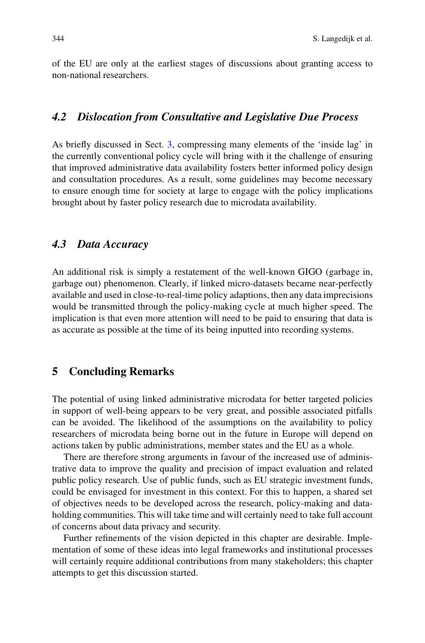of the EU are only at the earliest stages of discussions about granting access to non-national researchers.

#### *4.2 Dislocation from Consultative and Legislative Due Process*

As briefly discussed in Sect. [3,](#page-5-0) compressing many elements of the 'inside lag' in the currently conventional policy cycle will bring with it the challenge of ensuring that improved administrative data availability fosters better informed policy design and consultation procedures. As a result, some guidelines may become necessary to ensure enough time for society at large to engage with the policy implications brought about by faster policy research due to microdata availability.

#### *4.3 Data Accuracy*

An additional risk is simply a restatement of the well-known GIGO (garbage in, garbage out) phenomenon. Clearly, if linked micro-datasets became near-perfectly available and used in close-to-real-time policy adaptions, then any data imprecisions would be transmitted through the policy-making cycle at much higher speed. The implication is that even more attention will need to be paid to ensuring that data is as accurate as possible at the time of its being inputted into recording systems.

### <span id="page-11-0"></span>**5 Concluding Remarks**

The potential of using linked administrative microdata for better targeted policies in support of well-being appears to be very great, and possible associated pitfalls can be avoided. The likelihood of the assumptions on the availability to policy researchers of microdata being borne out in the future in Europe will depend on actions taken by public administrations, member states and the EU as a whole.

There are therefore strong arguments in favour of the increased use of administrative data to improve the quality and precision of impact evaluation and related public policy research. Use of public funds, such as EU strategic investment funds, could be envisaged for investment in this context. For this to happen, a shared set of objectives needs to be developed across the research, policy-making and dataholding communities. This will take time and will certainly need to take full account of concerns about data privacy and security.

Further refinements of the vision depicted in this chapter are desirable. Implementation of some of these ideas into legal frameworks and institutional processes will certainly require additional contributions from many stakeholders; this chapter attempts to get this discussion started.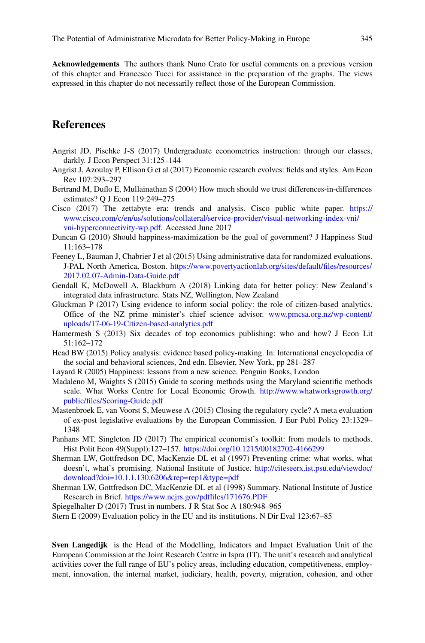**Acknowledgements** The authors thank Nuno Crato for useful comments on a previous version of this chapter and Francesco Tucci for assistance in the preparation of the graphs. The views expressed in this chapter do not necessarily reflect those of the European Commission.

#### **References**

- <span id="page-12-10"></span>Angrist JD, Pischke J-S (2017) Undergraduate econometrics instruction: through our classes, darkly. J Econ Perspect 31:125–144
- <span id="page-12-9"></span>Angrist J, Azoulay P, Ellison G et al (2017) Economic research evolves: fields and styles. Am Econ Rev 107:293–297
- <span id="page-12-11"></span>Bertrand M, Duflo E, Mullainathan S (2004) How much should we trust differences-in-differences estimates? Q J Econ 119:249–275
- <span id="page-12-6"></span>Cisco (2017) The zettabyte era: trends and analysis. Cisco public white paper. https:// [www.cisco.com/c/en/us/solutions/collateral/service-provider/visual-networking-index-vni/](https://www.cisco.com/c/en/us/solutions/collateral/service-provider/visual-networking-index-vni/vni-hyperconnectivity-wp.pdf) vni-hyperconnectivity-wp.pdf. Accessed June 2017
- <span id="page-12-16"></span>Duncan G (2010) Should happiness-maximization be the goal of government? J Happiness Stud 11:163–178
- <span id="page-12-2"></span>Feeney L, Bauman J, Chabrier J et al (2015) Using administrative data for randomized evaluations. J-PAL North America, Boston. [https://www.povertyactionlab.org/sites/default/files/resources/](https://www.povertyactionlab.org/sites/default/files/resources/2017.02.07-Admin-Data-Guide.pdf) 2017.02.07-Admin-Data-Guide.pdf
- <span id="page-12-7"></span>Gendall K, McDowell A, Blackburn A (2018) Linking data for better policy: New Zealand's integrated data infrastructure. Stats NZ, Wellington, New Zealand
- <span id="page-12-5"></span>Gluckman P (2017) Using evidence to inform social policy: the role of citizen-based analytics. [Office of the NZ prime minister's chief science advisor.](http://www.pmcsa.org.nz/wp-content/uploads/17-06-19-Citizen-based-analytics.pdf) www.pmcsa.org.nz/wp-content/ uploads/17-06-19-Citizen-based-analytics.pdf
- <span id="page-12-8"></span>Hamermesh S (2013) Six decades of top economics publishing: who and how? J Econ Lit 51:162–172
- <span id="page-12-0"></span>Head BW (2015) Policy analysis: evidence based policy-making. In: International encyclopedia of the social and behavioral sciences, 2nd edn. Elsevier, New York, pp 281–287
- <span id="page-12-15"></span>Layard R (2005) Happiness: lessons from a new science. Penguin Books, London
- <span id="page-12-14"></span>Madaleno M, Waights S (2015) Guide to scoring methods using the Maryland scientific methods [scale. What Works Centre for Local Economic Growth.](http://www.whatworksgrowth.org/public/files/Scoring-Guide.pdf) http://www.whatworksgrowth.org/ public/files/Scoring-Guide.pdf
- <span id="page-12-4"></span>Mastenbroek E, van Voorst S, Meuwese A (2015) Closing the regulatory cycle? A meta evaluation of ex-post legislative evaluations by the European Commission. J Eur Publ Policy 23:1329– 1348
- <span id="page-12-1"></span>Panhans MT, Singleton JD (2017) The empirical economist's toolkit: from models to methods. Hist Polit Econ 49(Suppl):127–157. [https://doi.org/10.1215/00182702-4166299](http://dx.doi.org/10.1215/00182702-4166299)
- <span id="page-12-12"></span>Sherman LW, Gottfredson DC, MacKenzie DL et al (1997) Preventing crime: what works, what [doesn't, what's promising. National Institute of Justice.](http://citeseerx.ist.psu.edu/viewdoc/download?doi=10.1.1.130.6206&rep=rep1&type=pdf) http://citeseerx.ist.psu.edu/viewdoc/ download?doi=10.1.1.130.6206&rep=rep1&type=pdf
- <span id="page-12-13"></span>Sherman LW, Gottfredson DC, MacKenzie DL et al (1998) Summary. National Institute of Justice Research in Brief. <https://www.ncjrs.gov/pdffiles/171676.PDF>
- <span id="page-12-17"></span>Spiegelhalter D (2017) Trust in numbers. J R Stat Soc A 180:948–965
- <span id="page-12-3"></span>Stern E (2009) Evaluation policy in the EU and its institutions. N Dir Eval 123:67–85

**Sven Langedijk** is the Head of the Modelling, Indicators and Impact Evaluation Unit of the European Commission at the Joint Research Centre in Ispra (IT). The unit's research and analytical activities cover the full range of EU's policy areas, including education, competitiveness, employment, innovation, the internal market, judiciary, health, poverty, migration, cohesion, and other